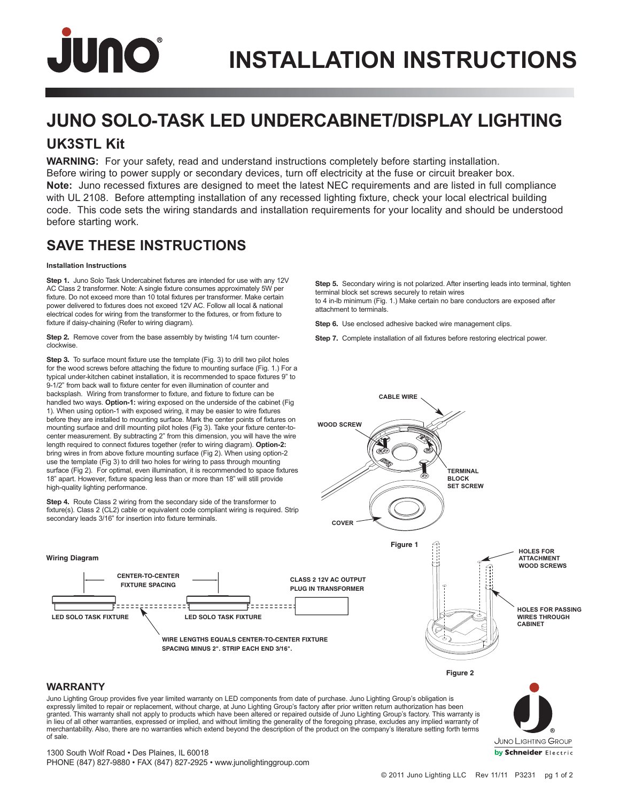# JUNO

## **JUNO SOLO-TASK LED UNDERCABINET/DISPLAY LIGHTING**

### **UK3STL Kit**

**WARNING:** For your safety, read and understand instructions completely before starting installation. Before wiring to power supply or secondary devices, turn off electricity at the fuse or circuit breaker box. **Note:** Juno recessed fixtures are designed to meet the latest NEC requirements and are listed in full compliance with UL 2108. Before attempting installation of any recessed lighting fixture, check your local electrical building code. This code sets the wiring standards and installation requirements for your locality and should be understood before starting work.

### **SAVE THESE INSTRUCTIONS**

#### **Installation Instructions**

**Step 1.** Juno Solo Task Undercabinet fixtures are intended for use with any 12V AC Class 2 transformer. Note: A single fixture consumes approximately 5W per fixture. Do not exceed more than 10 total fixtures per transformer. Make certain power delivered to fixtures does not exceed 12V AC. Follow all local & national electrical codes for wiring from the transformer to the fixtures, or from fixture to fixture if daisy-chaining (Refer to wiring diagram).

**Step 2.** Remove cover from the base assembly by twisting 1/4 turn counterclockwise.

**Step 3.** To surface mount fixture use the template (Fig. 3) to drill two pilot holes for the wood screws before attaching the fixture to mounting surface (Fig. 1.) For a typical under-kitchen cabinet installation, it is recommended to space fixtures 9" to 9-1/2" from back wall to fixture center for even illumination of counter and backsplash. Wiring from transformer to fixture, and fixture to fixture can be handled two ways. **Option-1:** wiring exposed on the underside of the cabinet (Fig 1). When using option-1 with exposed wiring, it may be easier to wire fixtures before they are installed to mounting surface. Mark the center points of fixtures on mounting surface and drill mounting pilot holes (Fig 3). Take your fixture center-tocenter measurement. By subtracting 2" from this dimension, you will have the wire length required to connect fixtures together (refer to wiring diagram). **Option-2:** bring wires in from above fixture mounting surface (Fig 2). When using option-2 use the template (Fig 3) to drill two holes for wiring to pass through mounting surface (Fig 2). For optimal, even illumination, it is recommended to space fixtures 18" apart. However, fixture spacing less than or more than 18" will still provide high-quality lighting performance.

**Step 4.** Route Class 2 wiring from the secondary side of the transformer to fixture(s). Class 2 (CL2) cable or equivalent code compliant wiring is required. Strip secondary leads  $3/16$ " for insertion into fixture terminals.

> **CENTER-TO-CENTER FIXTURE SPACING**

> > -------

**Step 5.** Secondary wiring is not polarized. After inserting leads into terminal, tighten terminal block set screws securely to retain wires to 4 in-lb minimum (Fig. 1.) Make certain no bare conductors are exposed after attachment to terminals.

**Step 6.** Use enclosed adhesive backed wire management clips.

**Step 7.** Complete installation of all fixtures before restoring electrical power.



#### **WARRANTY**

**Wiring Diagram**

Juno Lighting Group provides five year limited warranty on LED components from date of purchase. Juno Lighting Group's obligation is expressly limited to repair or replacement, without charge, at Juno Lighting Group's factory after prior written return authorization has been<br>granted. This warranty shall not apply to products which have been altered or r in lieu of all other warranties, expressed or implied, and without limiting the generality of the foregoing phrase, excludes any implied warranty of merchantability. Also, there are no warranties which extend beyond the description of the product on the company's literature setting forth terms of sale.

JUNO LIGHTING GROUP by Schneider Electric

1300 South Wolf Road • Des Plaines, IL 60018 PHONE (847) 827-9880 • FAX (847) 827-2925 • www.junolightinggroup.com